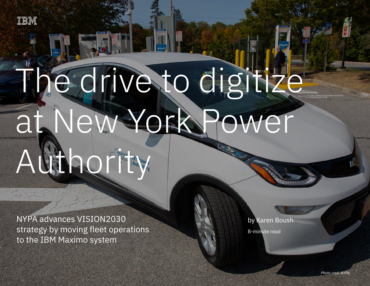

# The drive to digitize at New York Power

 $N$  advances VISION2030 strategy by moving fleet operations to the IBM  $\sim$  moving fleet operations to the IBM  $\sim$  moving fleet operations to the IBM  $\sim$ 

## AUTHORITY

NYPA advances VISION2030 strategy by moving fleet operations to the IBM Maximo system

by Karen Boush

8-minute read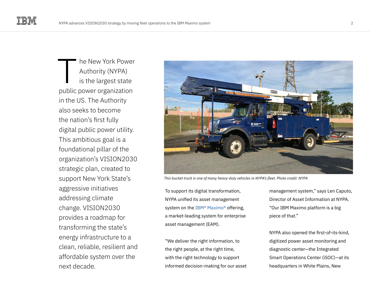he New York Power Authority (NYPA) is the largest state public power organization in the US. The Authority also seeks to become the nation's first fully digital public power utility. This ambitious goal is a foundational pillar of the organization's VISION2030 strategic plan, created to support New York State's aggressive initiatives addressing climate change. VISION2030 provides a roadmap for transforming the state's energy infrastructure to a clean, reliable, resilient and affordable system over the next decade. T



*This bucket truck is one of many heavy-duty vehicles in NYPA's fleet. Photo credit: NYPA*

To support its digital transformation, NYPA unified its asset management system on the [IBM® Maximo®](https://www.ibm.com/products/maximo) offering, a market-leading system for enterprise asset management (EAM).

"We deliver the right information, to the right people, at the right time, with the right technology to support informed decision-making for our asset management system," says Len Caputo, Director of Asset Information at NYPA. "Our IBM Maximo platform is a big piece of that."

NYPA also opened the first-of-its-kind, digitized power asset monitoring and diagnostic center—the Integrated Smart Operations Center (iSOC)—at its headquarters in White Plains, New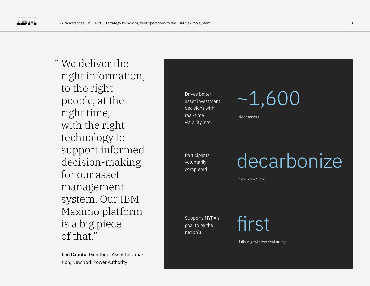" We deliver the right information, to the right people, at the right time, with the right technology to support informed decision-making for our asset management system. Our IBM Maximo platform is a big piece of that."

**Len Caputo**, Director of Asset Information, New York Power Authority



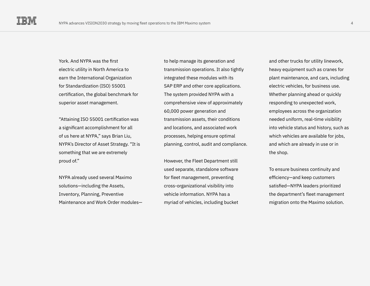York. And NYPA was the first electric utility in North America to earn the International Organization for Standardization (ISO) 55001 certification, the global benchmark for superior asset management.

"Attaining ISO 55001 certification was a significant accomplishment for all of us here at NYPA," says Brian Liu, NYPA's Director of Asset Strategy. "It is something that we are extremely proud of."

NYPA already used several Maximo solutions—including the Assets, Inventory, Planning, Preventive Maintenance and Work Order modules—

to help manage its generation and transmission operations. It also tightly integrated these modules with its SAP ERP and other core applications. The system provided NYPA with a comprehensive view of approximately 60,000 power generation and transmission assets, their conditions and locations, and associated work processes, helping ensure optimal planning, control, audit and compliance.

However, the Fleet Department still used separate, standalone software for fleet management, preventing cross-organizational visibility into vehicle information. NYPA has a myriad of vehicles, including bucket

and other trucks for utility linework, heavy equipment such as cranes for plant maintenance, and cars, including electric vehicles, for business use. Whether planning ahead or quickly responding to unexpected work, employees across the organization needed uniform, real-time visibility into vehicle status and history, such as which vehicles are available for jobs, and which are already in use or in the shop.

To ensure business continuity and efficiency—and keep customers satisfied—NYPA leaders prioritized the department's fleet management migration onto the Maximo solution.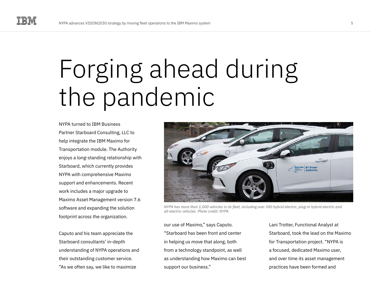### Forging ahead during the pandemic

NYPA turned to IBM Business Partner Starboard Consulting, LLC to help integrate the IBM Maximo for Transportation module. The Authority enjoys a long-standing relationship with Starboard, which currently provides NYPA with comprehensive Maximo support and enhancements. Recent work includes a major upgrade to Maximo Asset Management version 7.6 software and expanding the solution footprint across the organization.

Caputo and his team appreciate the Starboard consultants' in-depth understanding of NYPA operations and their outstanding customer service. "As we often say, we like to maximize



*NYPA has more than 1,000 vehicles in its fleet, including over 300 hybrid electric, plug-in hybrid electric and all-electric vehicles. Photo credit: NYPA* 

our use of Maximo," says Caputo. "Starboard has been front and center in helping us move that along, both from a technology standpoint, as well as understanding how Maximo can best support our business."

Lani Trotter, Functional Analyst at Starboard, took the lead on the Maximo for Transportation project. "NYPA is a focused, dedicated Maximo user, and over time its asset management practices have been formed and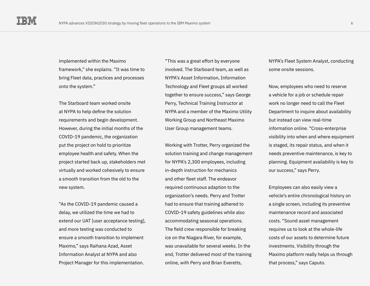implemented within the Maximo framework," she explains. "It was time to bring Fleet data, practices and processes onto the system."

The Starboard team worked onsite at NYPA to help define the solution requirements and begin development. However, during the initial months of the COVID-19 pandemic, the organization put the project on hold to prioritize employee health and safety. When the project started back up, stakeholders met virtually and worked cohesively to ensure a smooth transition from the old to the new system.

"As the COVID-19 pandemic caused a delay, we utilized the time we had to extend our UAT [user acceptance testing], and more testing was conducted to ensure a smooth transition to implement Maximo," says Raihana Azad, Asset Information Analyst at NYPA and also Project Manager for this implementation.

"This was a great effort by everyone involved. The Starboard team, as well as NYPA's Asset Information, Information Technology and Fleet groups all worked together to ensure success," says George Perry, Technical Training Instructor at NYPA and a member of the Maximo Utility Working Group and Northeast Maximo User Group management teams.

Working with Trotter, Perry organized the solution training and change management for NYPA's 2,300 employees, including in-depth instruction for mechanics and other fleet staff. The endeavor required continuous adaption to the organization's needs. Perry and Trotter had to ensure that training adhered to COVID-19 safety guidelines while also accommodating seasonal operations. The field crew responsible for breaking ice on the Niagara River, for example, was unavailable for several weeks. In the end, Trotter delivered most of the training online, with Perry and Brian Everetts,

NYPA's Fleet System Analyst, conducting some onsite sessions.

Now, employees who need to reserve a vehicle for a job or schedule repair work no longer need to call the Fleet Department to inquire about availability but instead can view real-time information online. "Cross-enterprise visibility into when and where equipment is staged, its repair status, and when it needs preventive maintenance, is key to planning. Equipment availability is key to our success," says Perry.

Employees can also easily view a vehicle's entire chronological history on a single screen, including its preventive maintenance record and associated costs. "Sound asset management requires us to look at the whole-life costs of our assets to determine future investments. Visibility through the Maximo platform really helps us through that process," says Caputo.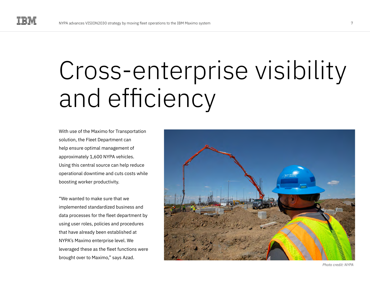### Cross-enterprise visibility and efficiency

With use of the Maximo for Transportation solution, the Fleet Department can help ensure optimal management of approximately 1,600 NYPA vehicles. Using this central source can help reduce operational downtime and cuts costs while boosting worker productivity.

"We wanted to make sure that we implemented standardized business and data processes for the fleet department by using user roles, policies and procedures that have already been established at NYPA's Maximo enterprise level. We leveraged these as the fleet functions were brought over to Maximo," says Azad.



*Photo credit: NYPA*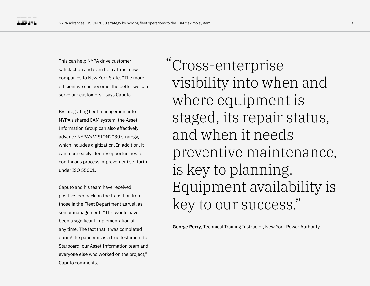This can help NYPA drive customer satisfaction and even help attract new companies to New York State. "The more efficient we can become, the better we can serve our customers," says Caputo.

By integrating fleet management into NYPA's shared EAM system, the Asset Information Group can also effectively advance NYPA's VISION2030 strategy, which includes digitization. In addition, it can more easily identify opportunities for continuous process improvement set forth under ISO 55001.

Caputo and his team have received positive feedback on the transition from those in the Fleet Department as well as senior management. "This would have been a significant implementation at any time. The fact that it was completed during the pandemic is a true testament to Starboard, our Asset Information team and everyone else who worked on the project," Caputo comments.

Cross-enterprise "visibility into when and where equipment is staged, its repair status, and when it needs preventive maintenance, is key to planning. Equipment availability is key to our success."

**George Perry**, Technical Training Instructor, New York Power Authority